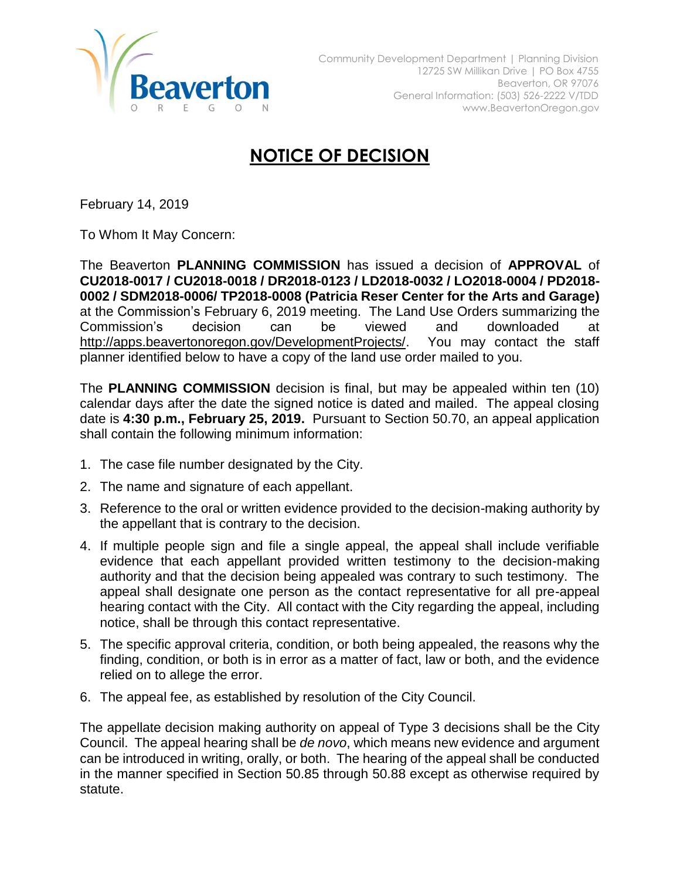

## **NOTICE OF DECISION**

February 14, 2019

To Whom It May Concern:

The Beaverton **PLANNING COMMISSION** has issued a decision of **APPROVAL** of **CU2018-0017 / CU2018-0018 / DR2018-0123 / LD2018-0032 / LO2018-0004 / PD2018- 0002 / SDM2018-0006/ TP2018-0008 (Patricia Reser Center for the Arts and Garage)** at the Commission's February 6, 2019 meeting. The Land Use Orders summarizing the Commission's decision can be viewed and downloaded at [http://apps.beavertonoregon.gov/DevelopmentProjects/.](http://apps.beavertonoregon.gov/DevelopmentProjects/) You may contact the staff planner identified below to have a copy of the land use order mailed to you.

The **PLANNING COMMISSION** decision is final, but may be appealed within ten (10) calendar days after the date the signed notice is dated and mailed. The appeal closing date is **4:30 p.m., February 25, 2019.** Pursuant to Section 50.70, an appeal application shall contain the following minimum information:

- 1. The case file number designated by the City.
- 2. The name and signature of each appellant.
- 3. Reference to the oral or written evidence provided to the decision-making authority by the appellant that is contrary to the decision.
- 4. If multiple people sign and file a single appeal, the appeal shall include verifiable evidence that each appellant provided written testimony to the decision-making authority and that the decision being appealed was contrary to such testimony. The appeal shall designate one person as the contact representative for all pre-appeal hearing contact with the City. All contact with the City regarding the appeal, including notice, shall be through this contact representative.
- 5. The specific approval criteria, condition, or both being appealed, the reasons why the finding, condition, or both is in error as a matter of fact, law or both, and the evidence relied on to allege the error.
- 6. The appeal fee, as established by resolution of the City Council.

The appellate decision making authority on appeal of Type 3 decisions shall be the City Council. The appeal hearing shall be *de novo*, which means new evidence and argument can be introduced in writing, orally, or both. The hearing of the appeal shall be conducted in the manner specified in Section 50.85 through 50.88 except as otherwise required by statute.